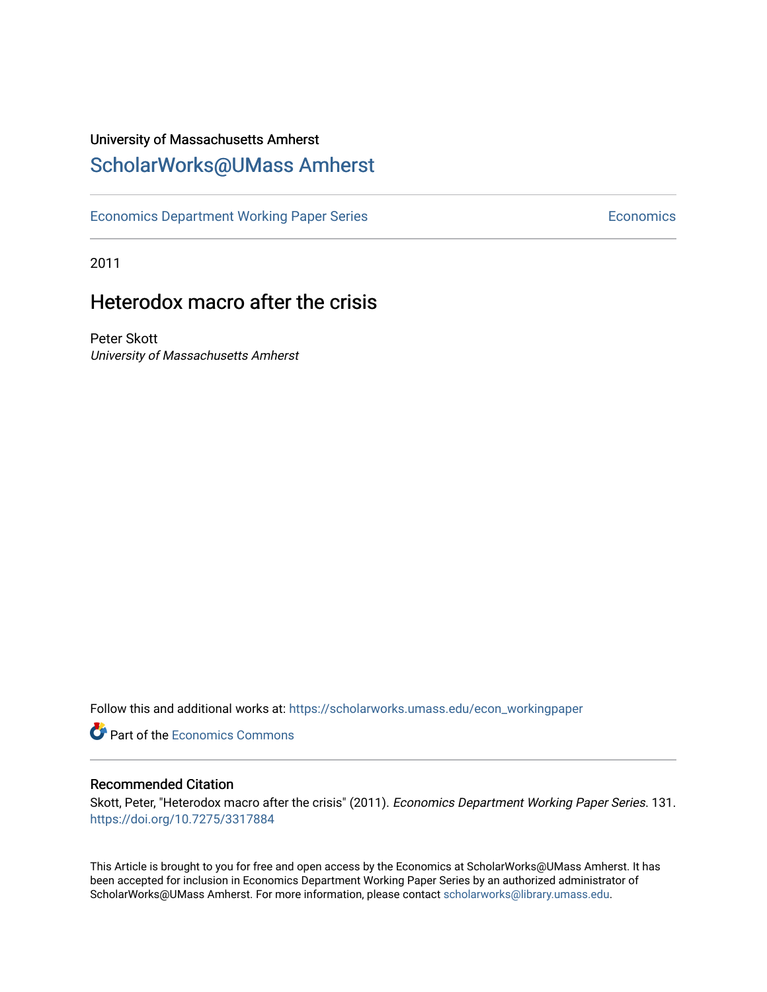### University of Massachusetts Amherst [ScholarWorks@UMass Amherst](https://scholarworks.umass.edu/)

[Economics Department Working Paper Series](https://scholarworks.umass.edu/econ_workingpaper) **Economics** Economics

2011

## Heterodox macro after the crisis

Peter Skott University of Massachusetts Amherst

Follow this and additional works at: [https://scholarworks.umass.edu/econ\\_workingpaper](https://scholarworks.umass.edu/econ_workingpaper?utm_source=scholarworks.umass.edu%2Fecon_workingpaper%2F131&utm_medium=PDF&utm_campaign=PDFCoverPages) 

**Part of the [Economics Commons](http://network.bepress.com/hgg/discipline/340?utm_source=scholarworks.umass.edu%2Fecon_workingpaper%2F131&utm_medium=PDF&utm_campaign=PDFCoverPages)** 

#### Recommended Citation

Skott, Peter, "Heterodox macro after the crisis" (2011). Economics Department Working Paper Series. 131. <https://doi.org/10.7275/3317884>

This Article is brought to you for free and open access by the Economics at ScholarWorks@UMass Amherst. It has been accepted for inclusion in Economics Department Working Paper Series by an authorized administrator of ScholarWorks@UMass Amherst. For more information, please contact [scholarworks@library.umass.edu.](mailto:scholarworks@library.umass.edu)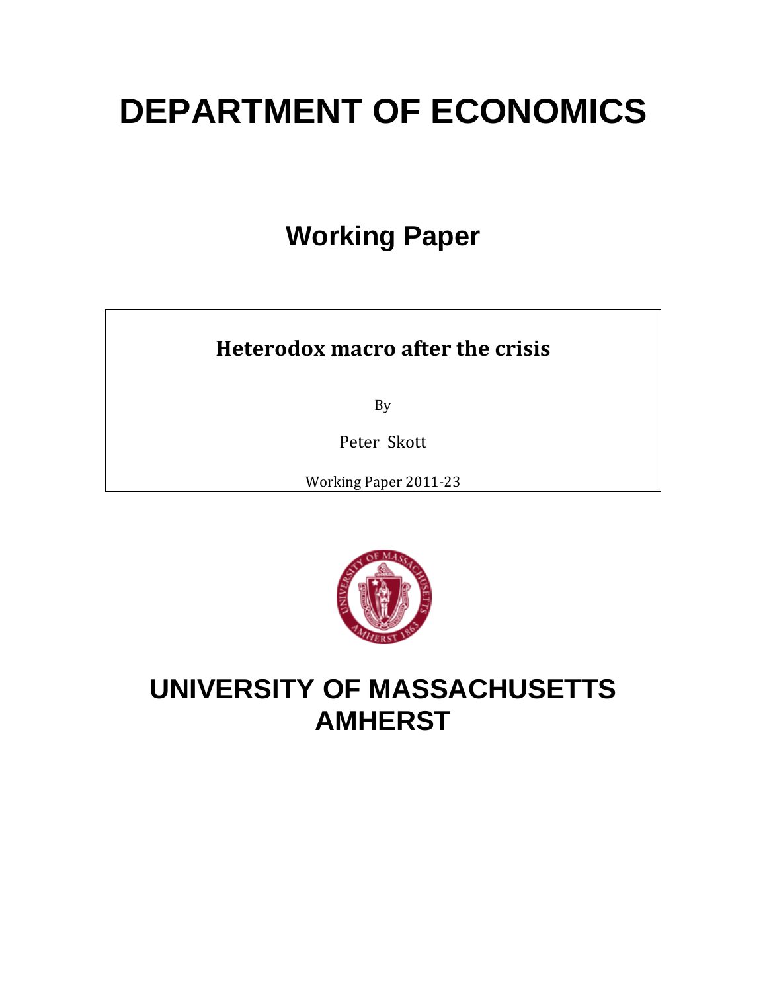# **DEPARTMENT OF ECONOMICS**

# **Working Paper**

# **Heterodox macro after the crisis**

By

Peter Skott

Working Paper 2011‐23



# **UNIVERSITY OF MASSACHUSETTS AMHERST**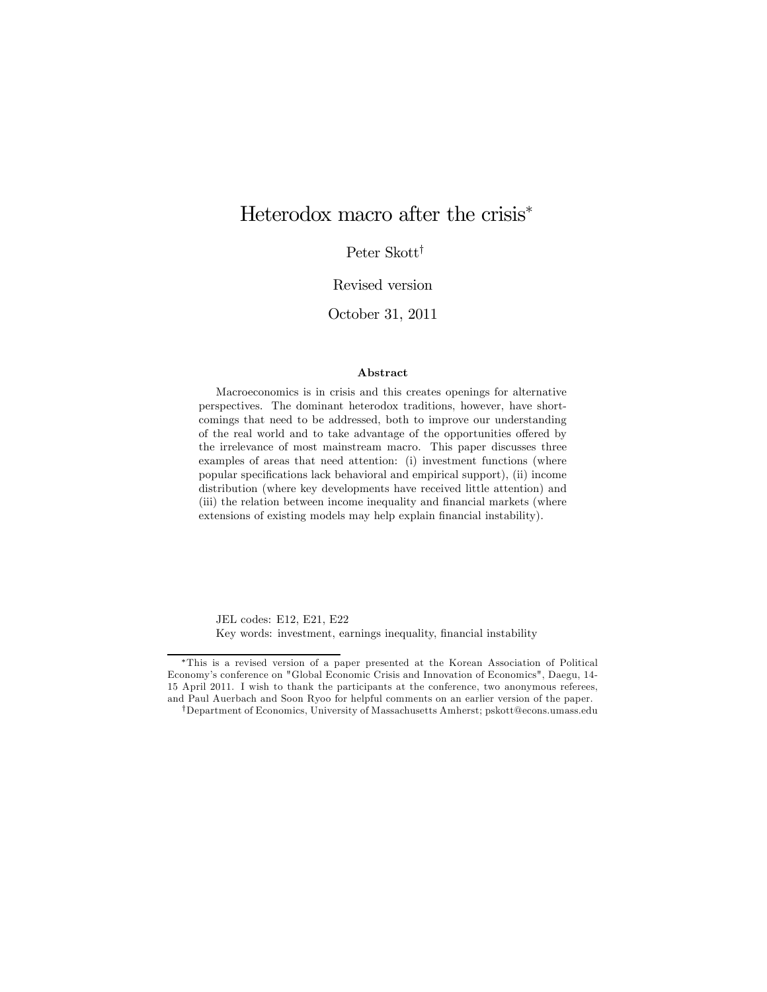### Heterodox macro after the crisis<sup>∗</sup>

Peter Skott†

#### Revised version

October 31, 2011

#### Abstract

Macroeconomics is in crisis and this creates openings for alternative perspectives. The dominant heterodox traditions, however, have shortcomings that need to be addressed, both to improve our understanding of the real world and to take advantage of the opportunities offered by the irrelevance of most mainstream macro. This paper discusses three examples of areas that need attention: (i) investment functions (where popular specifications lack behavioral and empirical support), (ii) income distribution (where key developments have received little attention) and (iii) the relation between income inequality and financial markets (where extensions of existing models may help explain financial instability).

JEL codes: E12, E21, E22 Key words: investment, earnings inequality, financial instability

<sup>∗</sup>This is a revised version of a paper presented at the Korean Association of Political Economy's conference on "Global Economic Crisis and Innovation of Economics", Daegu, 14- 15 April 2011. I wish to thank the participants at the conference, two anonymous referees, and Paul Auerbach and Soon Ryoo for helpful comments on an earlier version of the paper.

<sup>†</sup>Department of Economics, University of Massachusetts Amherst; pskott@econs.umass.edu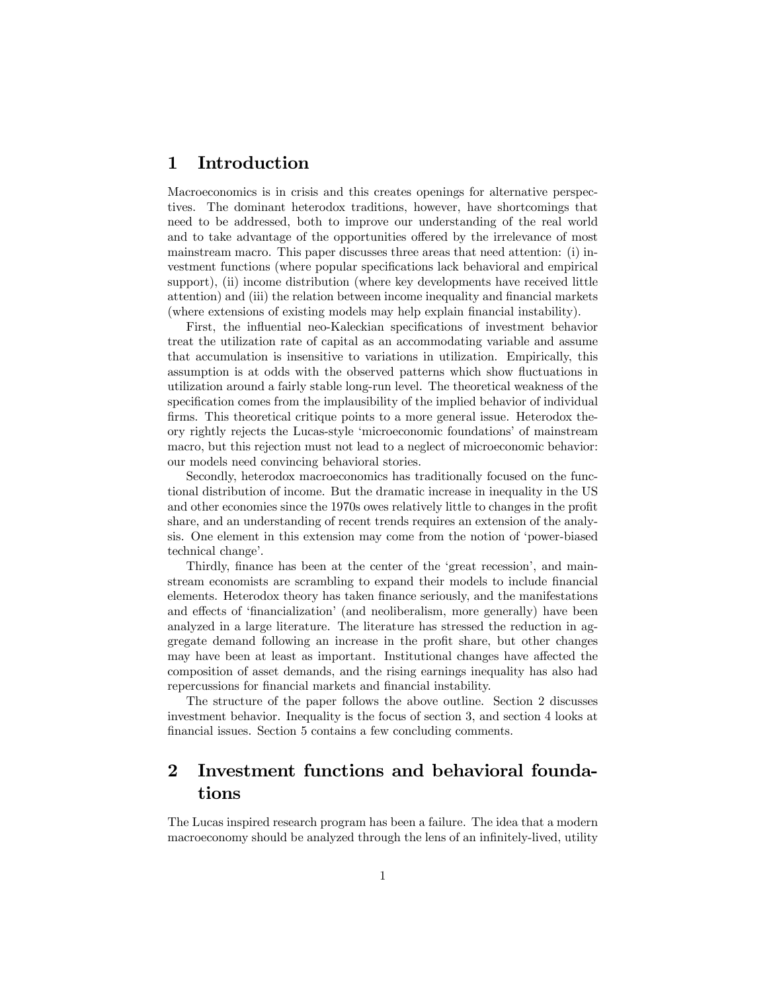#### 1 Introduction

Macroeconomics is in crisis and this creates openings for alternative perspectives. The dominant heterodox traditions, however, have shortcomings that need to be addressed, both to improve our understanding of the real world and to take advantage of the opportunities offered by the irrelevance of most mainstream macro. This paper discusses three areas that need attention: (i) investment functions (where popular specifications lack behavioral and empirical support), (ii) income distribution (where key developments have received little attention) and (iii) the relation between income inequality and financial markets (where extensions of existing models may help explain financial instability).

First, the influential neo-Kaleckian specifications of investment behavior treat the utilization rate of capital as an accommodating variable and assume that accumulation is insensitive to variations in utilization. Empirically, this assumption is at odds with the observed patterns which show fluctuations in utilization around a fairly stable long-run level. The theoretical weakness of the specification comes from the implausibility of the implied behavior of individual firms. This theoretical critique points to a more general issue. Heterodox theory rightly rejects the Lucas-style 'microeconomic foundations' of mainstream macro, but this rejection must not lead to a neglect of microeconomic behavior: our models need convincing behavioral stories.

Secondly, heterodox macroeconomics has traditionally focused on the functional distribution of income. But the dramatic increase in inequality in the US and other economies since the 1970s owes relatively little to changes in the profit share, and an understanding of recent trends requires an extension of the analysis. One element in this extension may come from the notion of 'power-biased technical change'.

Thirdly, finance has been at the center of the 'great recession', and mainstream economists are scrambling to expand their models to include financial elements. Heterodox theory has taken finance seriously, and the manifestations and effects of 'financialization' (and neoliberalism, more generally) have been analyzed in a large literature. The literature has stressed the reduction in aggregate demand following an increase in the profit share, but other changes may have been at least as important. Institutional changes have affected the composition of asset demands, and the rising earnings inequality has also had repercussions for financial markets and financial instability.

The structure of the paper follows the above outline. Section 2 discusses investment behavior. Inequality is the focus of section 3, and section 4 looks at financial issues. Section 5 contains a few concluding comments.

### 2 Investment functions and behavioral foundations

The Lucas inspired research program has been a failure. The idea that a modern macroeconomy should be analyzed through the lens of an infinitely-lived, utility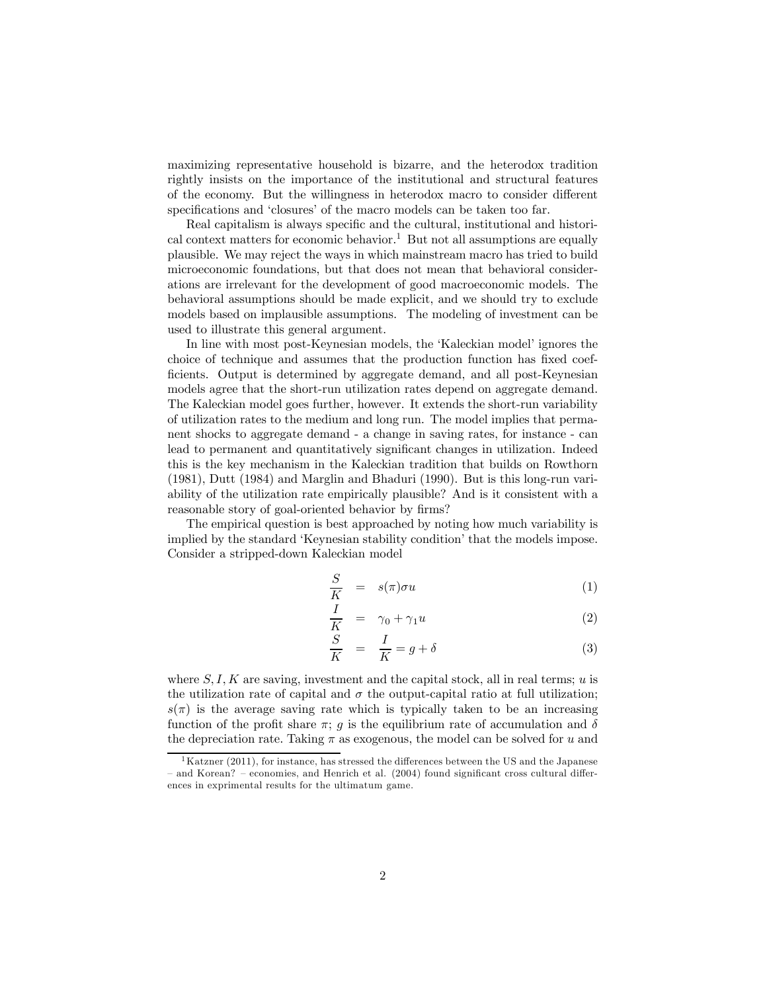maximizing representative household is bizarre, and the heterodox tradition rightly insists on the importance of the institutional and structural features of the economy. But the willingness in heterodox macro to consider different specifications and 'closures' of the macro models can be taken too far.

Real capitalism is always specific and the cultural, institutional and historical context matters for economic behavior.<sup>1</sup> But not all assumptions are equally plausible. We may reject the ways in which mainstream macro has tried to build microeconomic foundations, but that does not mean that behavioral considerations are irrelevant for the development of good macroeconomic models. The behavioral assumptions should be made explicit, and we should try to exclude models based on implausible assumptions. The modeling of investment can be used to illustrate this general argument.

In line with most post-Keynesian models, the 'Kaleckian model' ignores the choice of technique and assumes that the production function has fixed coefficients. Output is determined by aggregate demand, and all post-Keynesian models agree that the short-run utilization rates depend on aggregate demand. The Kaleckian model goes further, however. It extends the short-run variability of utilization rates to the medium and long run. The model implies that permanent shocks to aggregate demand - a change in saving rates, for instance - can lead to permanent and quantitatively significant changes in utilization. Indeed this is the key mechanism in the Kaleckian tradition that builds on Rowthorn (1981), Dutt (1984) and Marglin and Bhaduri (1990). But is this long-run variability of the utilization rate empirically plausible? And is it consistent with a reasonable story of goal-oriented behavior by firms?

The empirical question is best approached by noting how much variability is implied by the standard 'Keynesian stability condition' that the models impose. Consider a stripped-down Kaleckian model

$$
\frac{S}{K} = s(\pi)\sigma u \tag{1}
$$

$$
\frac{I}{K} = \gamma_0 + \gamma_1 u \tag{2}
$$

$$
\frac{S}{K} = \frac{I}{K} = g + \delta \tag{3}
$$

where  $S, I, K$  are saving, investment and the capital stock, all in real terms; u is the utilization rate of capital and  $\sigma$  the output-capital ratio at full utilization;  $s(\pi)$  is the average saving rate which is typically taken to be an increasing function of the profit share  $\pi$ ; g is the equilibrium rate of accumulation and  $\delta$ the depreciation rate. Taking  $\pi$  as exogenous, the model can be solved for u and

 $1<sup>1</sup>$ Katzner (2011), for instance, has stressed the differences between the US and the Japanese — and Korean? — economies, and Henrich et al. (2004) found significant cross cultural differences in exprimental results for the ultimatum game.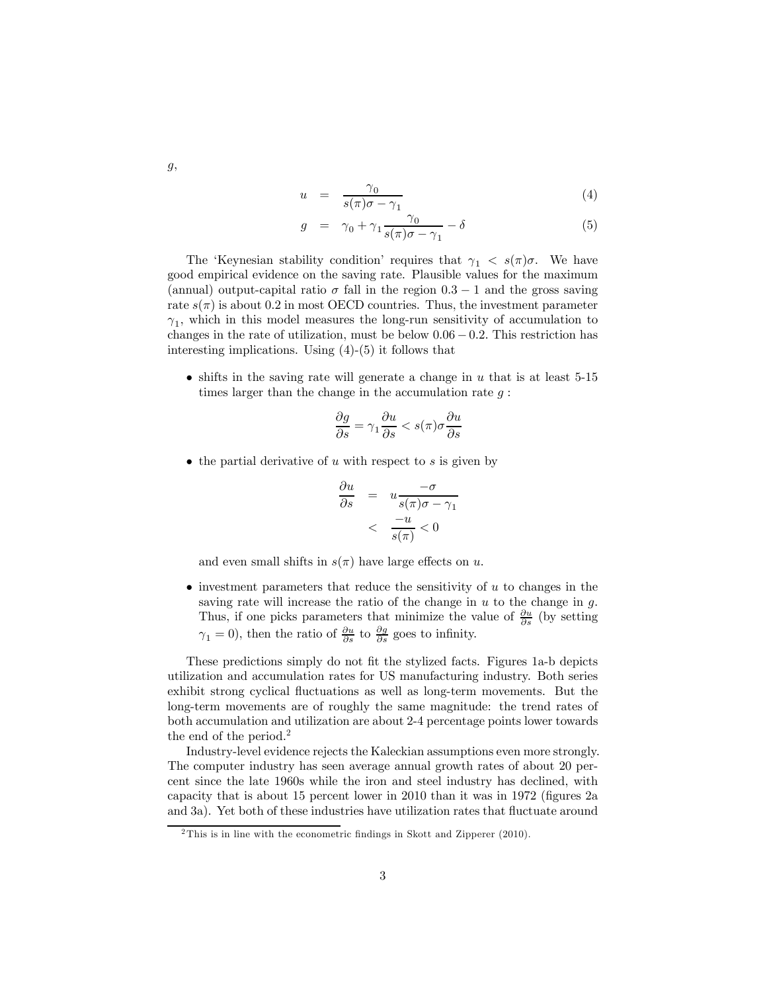$$
u = \frac{\gamma_0}{s(\pi)\sigma - \gamma_1} \tag{4}
$$

$$
g = \gamma_0 + \gamma_1 \frac{\gamma_0}{s(\pi)\sigma - \gamma_1} - \delta \tag{5}
$$

The 'Keynesian stability condition' requires that  $\gamma_1 < s(\pi)\sigma$ . We have good empirical evidence on the saving rate. Plausible values for the maximum (annual) output-capital ratio  $\sigma$  fall in the region  $0.3 - 1$  and the gross saving rate  $s(\pi)$  is about 0.2 in most OECD countries. Thus, the investment parameter  $\gamma_1$ , which in this model measures the long-run sensitivity of accumulation to changes in the rate of utilization, must be below  $0.06 - 0.2$ . This restriction has interesting implications. Using (4)-(5) it follows that

• shifts in the saving rate will generate a change in  $u$  that is at least 5-15 times larger than the change in the accumulation rate  $g$ :

$$
\frac{\partial g}{\partial s} = \gamma_1 \frac{\partial u}{\partial s} < s(\pi) \sigma \frac{\partial u}{\partial s}
$$

• the partial derivative of  $u$  with respect to  $s$  is given by

$$
\frac{\partial u}{\partial s} = u \frac{-\sigma}{s(\pi)\sigma - \gamma_1} \n< \frac{-u}{s(\pi)} < 0
$$

and even small shifts in  $s(\pi)$  have large effects on u.

• investment parameters that reduce the sensitivity of  $u$  to changes in the saving rate will increase the ratio of the change in  $u$  to the change in  $g$ . Thus, if one picks parameters that minimize the value of  $\frac{\partial u}{\partial s}$  (by setting  $\gamma_1 = 0$ , then the ratio of  $\frac{\partial u}{\partial s}$  to  $\frac{\partial g}{\partial s}$  goes to infinity.

These predictions simply do not fit the stylized facts. Figures 1a-b depicts utilization and accumulation rates for US manufacturing industry. Both series exhibit strong cyclical fluctuations as well as long-term movements. But the long-term movements are of roughly the same magnitude: the trend rates of both accumulation and utilization are about 2-4 percentage points lower towards the end of the period.<sup>2</sup>

Industry-level evidence rejects the Kaleckian assumptions even more strongly. The computer industry has seen average annual growth rates of about 20 percent since the late 1960s while the iron and steel industry has declined, with capacity that is about 15 percent lower in 2010 than it was in 1972 (figures 2a and 3a). Yet both of these industries have utilization rates that fluctuate around

g,

 $2$ This is in line with the econometric findings in Skott and Zipperer (2010).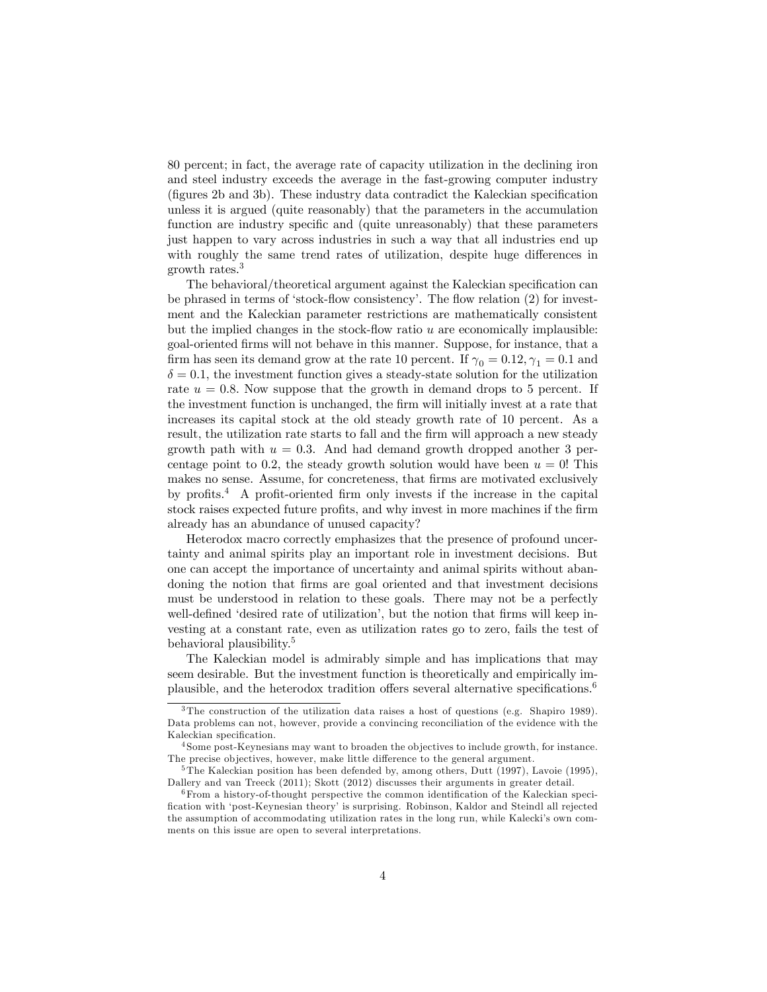80 percent; in fact, the average rate of capacity utilization in the declining iron and steel industry exceeds the average in the fast-growing computer industry (figures 2b and 3b). These industry data contradict the Kaleckian specification unless it is argued (quite reasonably) that the parameters in the accumulation function are industry specific and (quite unreasonably) that these parameters just happen to vary across industries in such a way that all industries end up with roughly the same trend rates of utilization, despite huge differences in growth rates.<sup>3</sup>

The behavioral/theoretical argument against the Kaleckian specification can be phrased in terms of 'stock-flow consistency'. The flow relation (2) for investment and the Kaleckian parameter restrictions are mathematically consistent but the implied changes in the stock-flow ratio  $u$  are economically implausible: goal-oriented firms will not behave in this manner. Suppose, for instance, that a firm has seen its demand grow at the rate 10 percent. If  $\gamma_0 = 0.12, \gamma_1 = 0.1$  and  $\delta = 0.1$ , the investment function gives a steady-state solution for the utilization rate  $u = 0.8$ . Now suppose that the growth in demand drops to 5 percent. If the investment function is unchanged, the firm will initially invest at a rate that increases its capital stock at the old steady growth rate of 10 percent. As a result, the utilization rate starts to fall and the firm will approach a new steady growth path with  $u = 0.3$ . And had demand growth dropped another 3 percentage point to 0.2, the steady growth solution would have been  $u = 0$ ! This makes no sense. Assume, for concreteness, that firms are motivated exclusively by profits.4 A profit-oriented firm only invests if the increase in the capital stock raises expected future profits, and why invest in more machines if the firm already has an abundance of unused capacity?

Heterodox macro correctly emphasizes that the presence of profound uncertainty and animal spirits play an important role in investment decisions. But one can accept the importance of uncertainty and animal spirits without abandoning the notion that firms are goal oriented and that investment decisions must be understood in relation to these goals. There may not be a perfectly well-defined 'desired rate of utilization', but the notion that firms will keep investing at a constant rate, even as utilization rates go to zero, fails the test of behavioral plausibility.<sup>5</sup>

The Kaleckian model is admirably simple and has implications that may seem desirable. But the investment function is theoretically and empirically implausible, and the heterodox tradition offers several alternative specifications.<sup>6</sup>

<sup>3</sup>The construction of the utilization data raises a host of questions (e.g. Shapiro 1989). Data problems can not, however, provide a convincing reconciliation of the evidence with the Kaleckian specification.

<sup>&</sup>lt;sup>4</sup> Some post-Keynesians may want to broaden the objectives to include growth, for instance. The precise objectives, however, make little difference to the general argument.

<sup>&</sup>lt;sup>5</sup>The Kaleckian position has been defended by, among others, Dutt (1997), Lavoie (1995), Dallery and van Treeck (2011); Skott (2012) discusses their arguments in greater detail.

 $6$  From a history-of-thought perspective the common identification of the Kaleckian specification with 'post-Keynesian theory' is surprising. Robinson, Kaldor and Steindl all rejected the assumption of accommodating utilization rates in the long run, while Kalecki's own comments on this issue are open to several interpretations.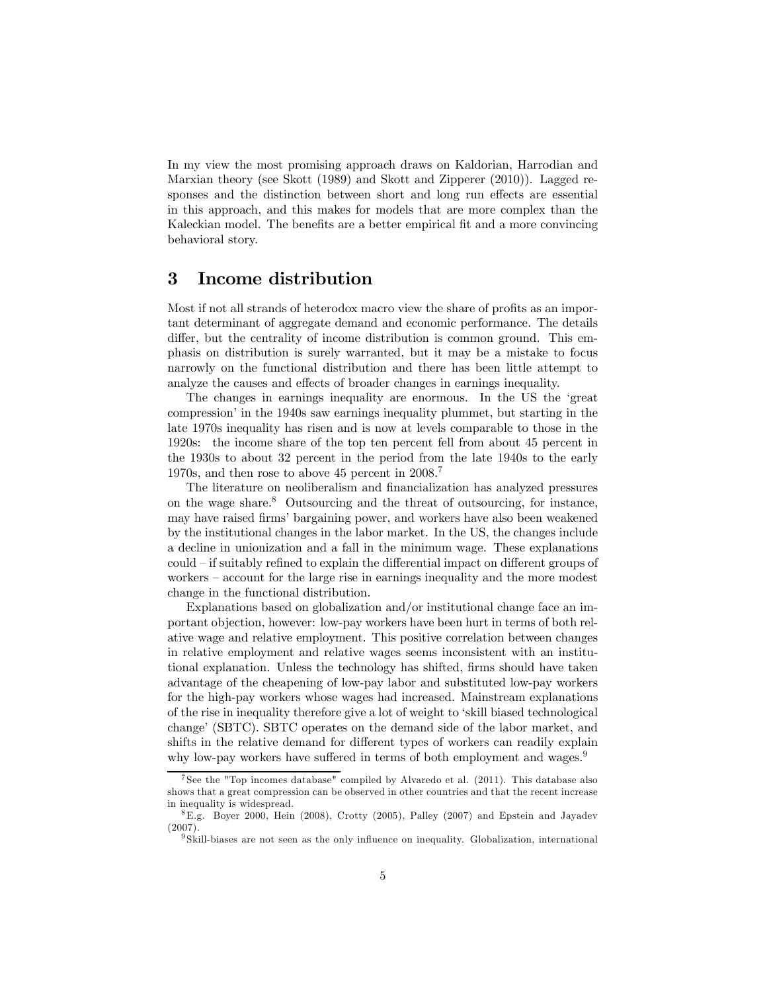In my view the most promising approach draws on Kaldorian, Harrodian and Marxian theory (see Skott (1989) and Skott and Zipperer (2010)). Lagged responses and the distinction between short and long run effects are essential in this approach, and this makes for models that are more complex than the Kaleckian model. The benefits are a better empirical fit and a more convincing behavioral story.

#### 3 Income distribution

Most if not all strands of heterodox macro view the share of profits as an important determinant of aggregate demand and economic performance. The details differ, but the centrality of income distribution is common ground. This emphasis on distribution is surely warranted, but it may be a mistake to focus narrowly on the functional distribution and there has been little attempt to analyze the causes and effects of broader changes in earnings inequality.

The changes in earnings inequality are enormous. In the US the 'great compression' in the 1940s saw earnings inequality plummet, but starting in the late 1970s inequality has risen and is now at levels comparable to those in the 1920s: the income share of the top ten percent fell from about 45 percent in the 1930s to about 32 percent in the period from the late 1940s to the early 1970s, and then rose to above 45 percent in 2008.7

The literature on neoliberalism and financialization has analyzed pressures on the wage share. $8$  Outsourcing and the threat of outsourcing, for instance, may have raised firms' bargaining power, and workers have also been weakened by the institutional changes in the labor market. In the US, the changes include a decline in unionization and a fall in the minimum wage. These explanations could — if suitably refined to explain the differential impact on different groups of workers — account for the large rise in earnings inequality and the more modest change in the functional distribution.

Explanations based on globalization and/or institutional change face an important objection, however: low-pay workers have been hurt in terms of both relative wage and relative employment. This positive correlation between changes in relative employment and relative wages seems inconsistent with an institutional explanation. Unless the technology has shifted, firms should have taken advantage of the cheapening of low-pay labor and substituted low-pay workers for the high-pay workers whose wages had increased. Mainstream explanations of the rise in inequality therefore give a lot of weight to 'skill biased technological change' (SBTC). SBTC operates on the demand side of the labor market, and shifts in the relative demand for different types of workers can readily explain why low-pay workers have suffered in terms of both employment and wages.<sup>9</sup>

<sup>&</sup>lt;sup>7</sup> See the "Top incomes database" compiled by Alvaredo et al.  $(2011)$ . This database also shows that a great compression can be observed in other countries and that the recent increase in inequality is widespread.

<sup>8</sup>E.g. Boyer 2000, Hein (2008), Crotty (2005), Palley (2007) and Epstein and Jayadev (2007).

<sup>&</sup>lt;sup>9</sup> Skill-biases are not seen as the only influence on inequality. Globalization, international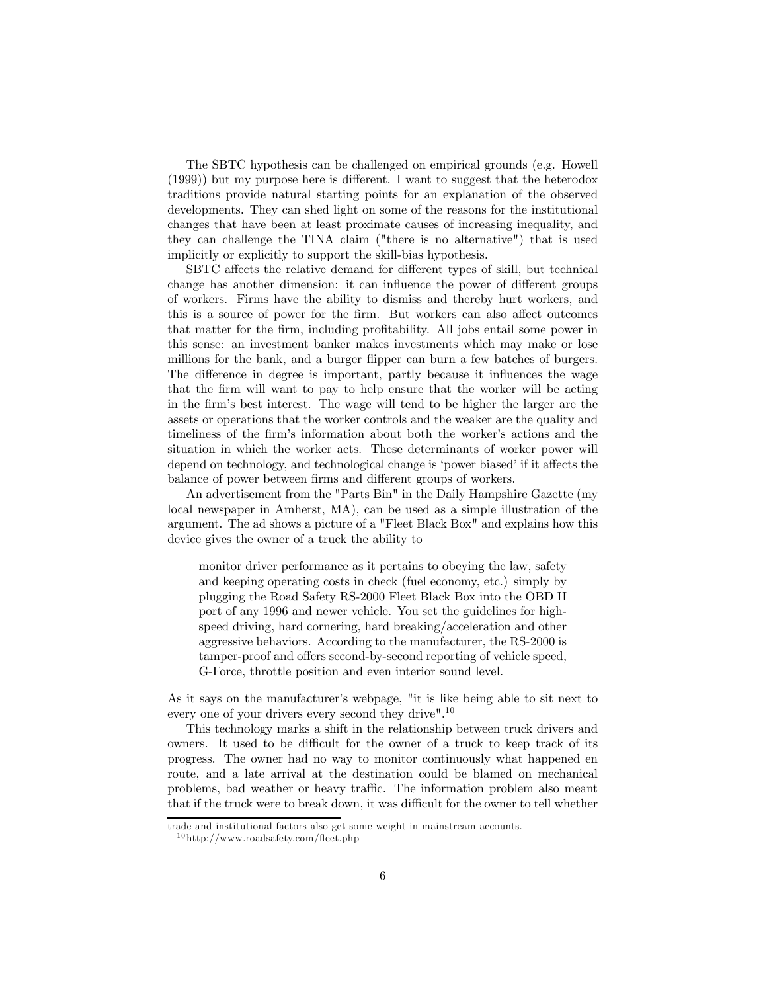The SBTC hypothesis can be challenged on empirical grounds (e.g. Howell (1999)) but my purpose here is different. I want to suggest that the heterodox traditions provide natural starting points for an explanation of the observed developments. They can shed light on some of the reasons for the institutional changes that have been at least proximate causes of increasing inequality, and they can challenge the TINA claim ("there is no alternative") that is used implicitly or explicitly to support the skill-bias hypothesis.

SBTC affects the relative demand for different types of skill, but technical change has another dimension: it can influence the power of different groups of workers. Firms have the ability to dismiss and thereby hurt workers, and this is a source of power for the firm. But workers can also affect outcomes that matter for the firm, including profitability. All jobs entail some power in this sense: an investment banker makes investments which may make or lose millions for the bank, and a burger flipper can burn a few batches of burgers. The difference in degree is important, partly because it influences the wage that the firm will want to pay to help ensure that the worker will be acting in the firm's best interest. The wage will tend to be higher the larger are the assets or operations that the worker controls and the weaker are the quality and timeliness of the firm's information about both the worker's actions and the situation in which the worker acts. These determinants of worker power will depend on technology, and technological change is 'power biased' if it affects the balance of power between firms and different groups of workers.

An advertisement from the "Parts Bin" in the Daily Hampshire Gazette (my local newspaper in Amherst, MA), can be used as a simple illustration of the argument. The ad shows a picture of a "Fleet Black Box" and explains how this device gives the owner of a truck the ability to

monitor driver performance as it pertains to obeying the law, safety and keeping operating costs in check (fuel economy, etc.) simply by plugging the Road Safety RS-2000 Fleet Black Box into the OBD II port of any 1996 and newer vehicle. You set the guidelines for highspeed driving, hard cornering, hard breaking/acceleration and other aggressive behaviors. According to the manufacturer, the RS-2000 is tamper-proof and offers second-by-second reporting of vehicle speed, G-Force, throttle position and even interior sound level.

As it says on the manufacturer's webpage, "it is like being able to sit next to every one of your drivers every second they drive".10

This technology marks a shift in the relationship between truck drivers and owners. It used to be difficult for the owner of a truck to keep track of its progress. The owner had no way to monitor continuously what happened en route, and a late arrival at the destination could be blamed on mechanical problems, bad weather or heavy traffic. The information problem also meant that if the truck were to break down, it was difficult for the owner to tell whether

trade and institutional factors also get some weight in mainstream accounts.

 $^{10}\mathrm{http://www.roadsafety.com/ffect.php}$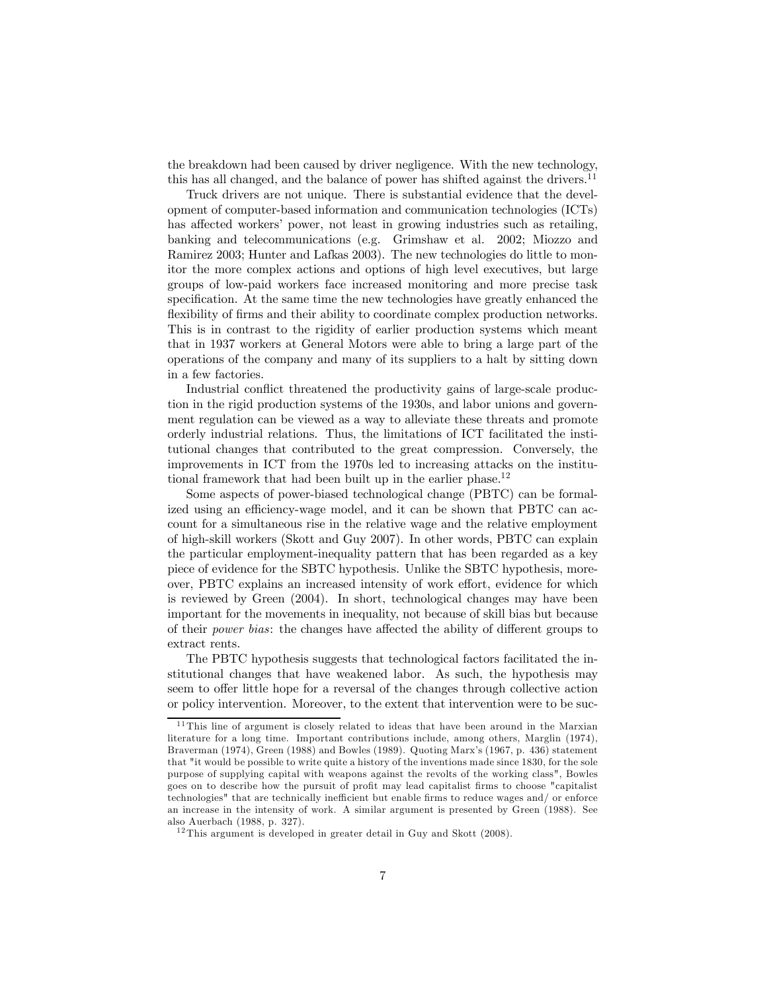the breakdown had been caused by driver negligence. With the new technology, this has all changed, and the balance of power has shifted against the drivers. $11$ 

Truck drivers are not unique. There is substantial evidence that the development of computer-based information and communication technologies (ICTs) has affected workers' power, not least in growing industries such as retailing, banking and telecommunications (e.g. Grimshaw et al. 2002; Miozzo and Ramirez 2003; Hunter and Lafkas 2003). The new technologies do little to monitor the more complex actions and options of high level executives, but large groups of low-paid workers face increased monitoring and more precise task specification. At the same time the new technologies have greatly enhanced the flexibility of firms and their ability to coordinate complex production networks. This is in contrast to the rigidity of earlier production systems which meant that in 1937 workers at General Motors were able to bring a large part of the operations of the company and many of its suppliers to a halt by sitting down in a few factories.

Industrial conflict threatened the productivity gains of large-scale production in the rigid production systems of the 1930s, and labor unions and government regulation can be viewed as a way to alleviate these threats and promote orderly industrial relations. Thus, the limitations of ICT facilitated the institutional changes that contributed to the great compression. Conversely, the improvements in ICT from the 1970s led to increasing attacks on the institutional framework that had been built up in the earlier phase.<sup>12</sup>

Some aspects of power-biased technological change (PBTC) can be formalized using an efficiency-wage model, and it can be shown that PBTC can account for a simultaneous rise in the relative wage and the relative employment of high-skill workers (Skott and Guy 2007). In other words, PBTC can explain the particular employment-inequality pattern that has been regarded as a key piece of evidence for the SBTC hypothesis. Unlike the SBTC hypothesis, moreover, PBTC explains an increased intensity of work effort, evidence for which is reviewed by Green (2004). In short, technological changes may have been important for the movements in inequality, not because of skill bias but because of their power bias: the changes have affected the ability of different groups to extract rents.

The PBTC hypothesis suggests that technological factors facilitated the institutional changes that have weakened labor. As such, the hypothesis may seem to offer little hope for a reversal of the changes through collective action or policy intervention. Moreover, to the extent that intervention were to be suc-

 $11$ This line of argument is closely related to ideas that have been around in the Marxian literature for a long time. Important contributions include, among others, Marglin (1974), Braverman (1974), Green (1988) and Bowles (1989). Quoting Marx's (1967, p. 436) statement that "it would be possible to write quite a history of the inventions made since 1830, for the sole purpose of supplying capital with weapons against the revolts of the working class", Bowles goes on to describe how the pursuit of profit may lead capitalist firms to choose "capitalist technologies" that are technically inefficient but enable firms to reduce wages and/ or enforce an increase in the intensity of work. A similar argument is presented by Green (1988). See also Auerbach (1988, p. 327).

 $12$ This argument is developed in greater detail in Guy and Skott (2008).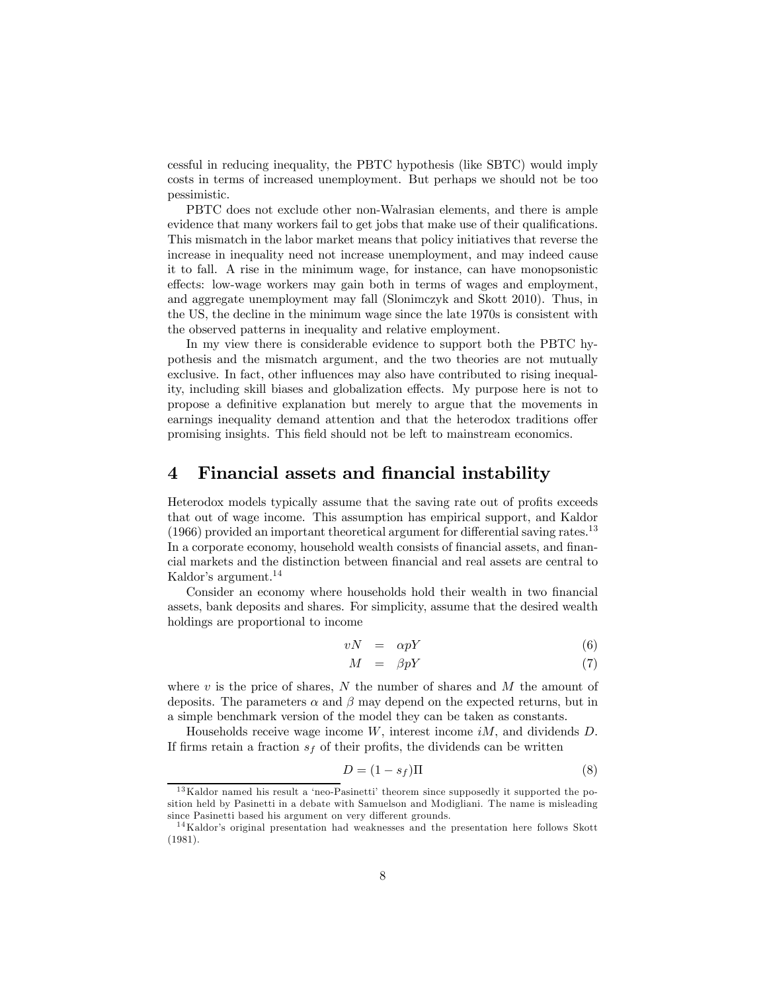cessful in reducing inequality, the PBTC hypothesis (like SBTC) would imply costs in terms of increased unemployment. But perhaps we should not be too pessimistic.

PBTC does not exclude other non-Walrasian elements, and there is ample evidence that many workers fail to get jobs that make use of their qualifications. This mismatch in the labor market means that policy initiatives that reverse the increase in inequality need not increase unemployment, and may indeed cause it to fall. A rise in the minimum wage, for instance, can have monopsonistic effects: low-wage workers may gain both in terms of wages and employment, and aggregate unemployment may fall (Slonimczyk and Skott 2010). Thus, in the US, the decline in the minimum wage since the late 1970s is consistent with the observed patterns in inequality and relative employment.

In my view there is considerable evidence to support both the PBTC hypothesis and the mismatch argument, and the two theories are not mutually exclusive. In fact, other influences may also have contributed to rising inequality, including skill biases and globalization effects. My purpose here is not to propose a definitive explanation but merely to argue that the movements in earnings inequality demand attention and that the heterodox traditions offer promising insights. This field should not be left to mainstream economics.

#### 4 Financial assets and financial instability

Heterodox models typically assume that the saving rate out of profits exceeds that out of wage income. This assumption has empirical support, and Kaldor (1966) provided an important theoretical argument for differential saving rates.<sup>13</sup> In a corporate economy, household wealth consists of financial assets, and financial markets and the distinction between financial and real assets are central to Kaldor's argument.<sup>14</sup>

Consider an economy where households hold their wealth in two financial assets, bank deposits and shares. For simplicity, assume that the desired wealth holdings are proportional to income

$$
vN = \alpha pY \tag{6}
$$

$$
M = \beta pY \tag{7}
$$

where  $v$  is the price of shares, N the number of shares and  $M$  the amount of deposits. The parameters  $\alpha$  and  $\beta$  may depend on the expected returns, but in a simple benchmark version of the model they can be taken as constants.

Households receive wage income  $W$ , interest income  $iM$ , and dividends  $D$ . If firms retain a fraction  $s<sub>f</sub>$  of their profits, the dividends can be written

$$
D = (1 - s_f)\Pi
$$
\n(8)

 $13$ Kaldor named his result a 'neo-Pasinetti' theorem since supposedly it supported the position held by Pasinetti in a debate with Samuelson and Modigliani. The name is misleading since Pasinetti based his argument on very different grounds.

<sup>&</sup>lt;sup>14</sup>Kaldor's original presentation had weaknesses and the presentation here follows Skott (1981).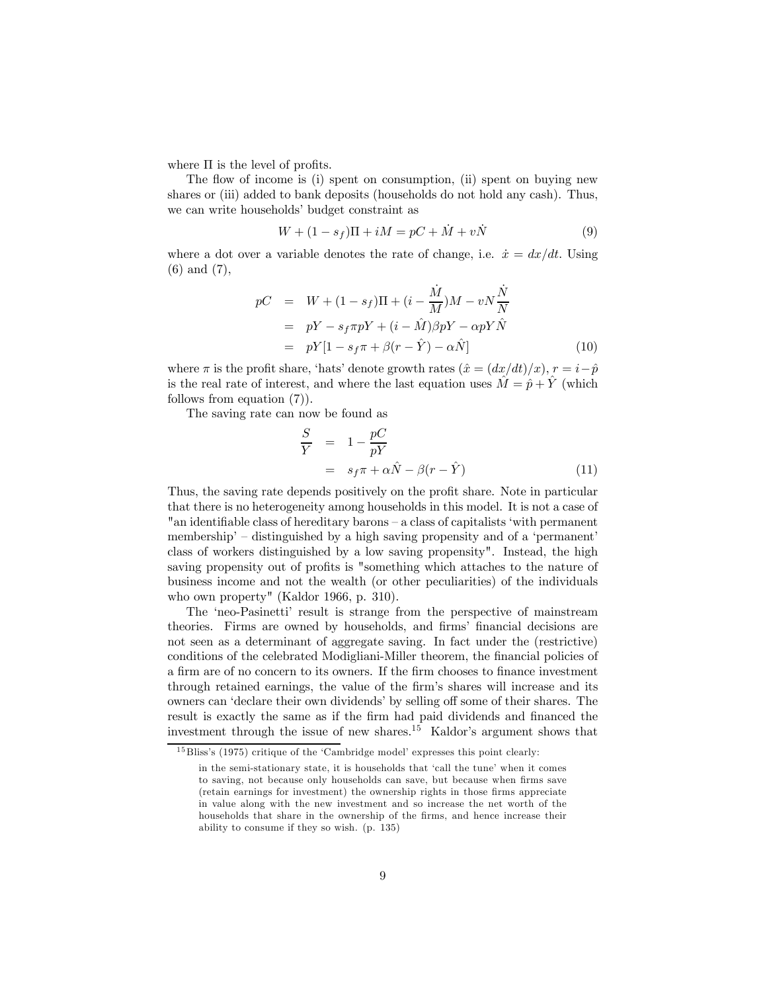where  $\Pi$  is the level of profits.

The flow of income is (i) spent on consumption, (ii) spent on buying new shares or (iii) added to bank deposits (households do not hold any cash). Thus, we can write households' budget constraint as

$$
W + (1 - s_f)\Pi + iM = pC + \dot{M} + v\dot{N}
$$
 (9)

where a dot over a variable denotes the rate of change, i.e.  $\dot{x} = dx/dt$ . Using (6) and (7),

$$
pC = W + (1 - s_f)\Pi + (i - \frac{\dot{M}}{M})M - vN\frac{\dot{N}}{N}
$$
  
=  $pY - s_f\pi pY + (i - \hat{M})\beta pY - \alpha pY\hat{N}$   
=  $pY[1 - s_f\pi + \beta(r - \hat{Y}) - \alpha \hat{N}]$  (10)

where  $\pi$  is the profit share, 'hats' denote growth rates  $(\hat{x} = (dx/dt)/x)$ ,  $r = i-\hat{p}$ is the real rate of interest, and where the last equation uses  $\tilde{M} = \hat{p} + \tilde{Y}$  (which follows from equation (7)).

The saving rate can now be found as

$$
\frac{S}{Y} = 1 - \frac{pC}{pY}
$$
  
=  $s_f \pi + \alpha \hat{N} - \beta (r - \hat{Y})$  (11)

Thus, the saving rate depends positively on the profit share. Note in particular that there is no heterogeneity among households in this model. It is not a case of "an identifiable class of hereditary barons — a class of capitalists 'with permanent membership' – distinguished by a high saving propensity and of a 'permanent' class of workers distinguished by a low saving propensity". Instead, the high saving propensity out of profits is "something which attaches to the nature of business income and not the wealth (or other peculiarities) of the individuals who own property" (Kaldor 1966, p. 310).

The 'neo-Pasinetti' result is strange from the perspective of mainstream theories. Firms are owned by households, and firms' financial decisions are not seen as a determinant of aggregate saving. In fact under the (restrictive) conditions of the celebrated Modigliani-Miller theorem, the financial policies of a firm are of no concern to its owners. If the firm chooses to finance investment through retained earnings, the value of the firm's shares will increase and its owners can 'declare their own dividends' by selling off some of their shares. The result is exactly the same as if the firm had paid dividends and financed the investment through the issue of new shares.<sup>15</sup> Kaldor's argument shows that

<sup>&</sup>lt;sup>15</sup> Bliss's (1975) critique of the 'Cambridge model' expresses this point clearly:

in the semi-stationary state, it is households that 'call the tune' when it comes to saving, not because only households can save, but because when firms save (retain earnings for investment) the ownership rights in those firms appreciate in value along with the new investment and so increase the net worth of the households that share in the ownership of the firms, and hence increase their ability to consume if they so wish. (p. 135)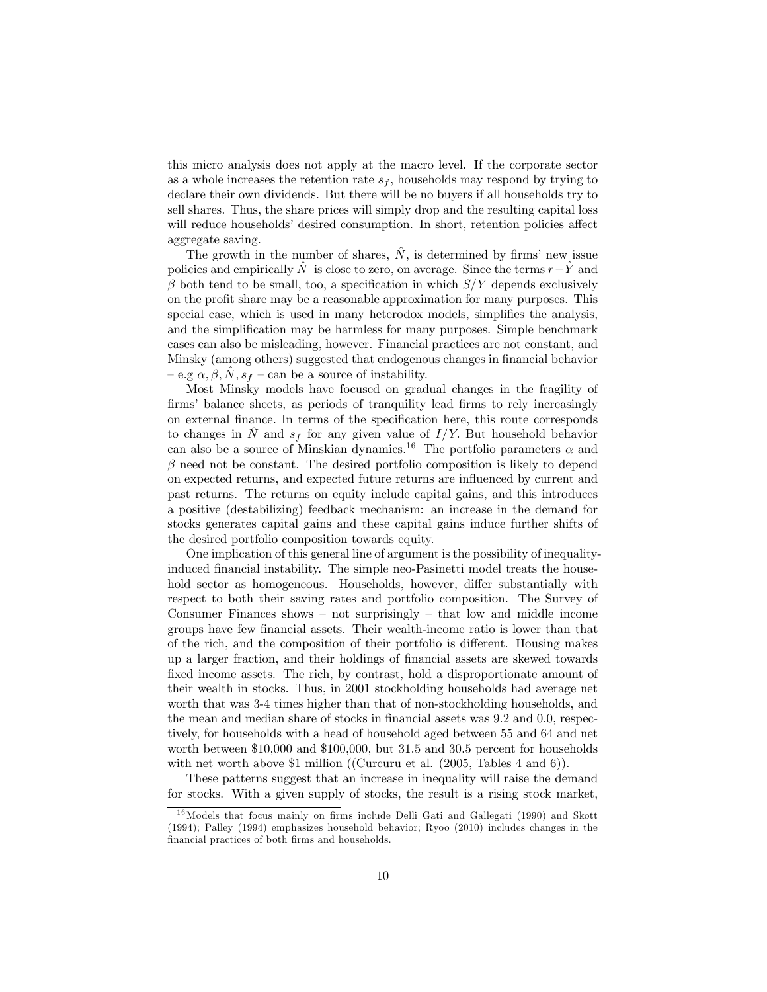this micro analysis does not apply at the macro level. If the corporate sector as a whole increases the retention rate  $s_f$ , households may respond by trying to declare their own dividends. But there will be no buyers if all households try to sell shares. Thus, the share prices will simply drop and the resulting capital loss will reduce households' desired consumption. In short, retention policies affect aggregate saving.

The growth in the number of shares,  $\hat{N}$ , is determined by firms' new issue policies and empirically  $\hat{N}$  is close to zero, on average. Since the terms  $r-\hat{Y}$  and  $\beta$  both tend to be small, too, a specification in which  $S/Y$  depends exclusively on the profit share may be a reasonable approximation for many purposes. This special case, which is used in many heterodox models, simplifies the analysis, and the simplification may be harmless for many purposes. Simple benchmark cases can also be misleading, however. Financial practices are not constant, and Minsky (among others) suggested that endogenous changes in financial behavior  $-e.g \alpha, \beta, N, s_f$  – can be a source of instability.

Most Minsky models have focused on gradual changes in the fragility of firms' balance sheets, as periods of tranquility lead firms to rely increasingly on external finance. In terms of the specification here, this route corresponds to changes in  $\hat{N}$  and  $s_f$  for any given value of  $I/Y$ . But household behavior can also be a source of Minskian dynamics.<sup>16</sup> The portfolio parameters  $\alpha$  and  $\beta$  need not be constant. The desired portfolio composition is likely to depend on expected returns, and expected future returns are influenced by current and past returns. The returns on equity include capital gains, and this introduces a positive (destabilizing) feedback mechanism: an increase in the demand for stocks generates capital gains and these capital gains induce further shifts of the desired portfolio composition towards equity.

One implication of this general line of argument is the possibility of inequalityinduced financial instability. The simple neo-Pasinetti model treats the household sector as homogeneous. Households, however, differ substantially with respect to both their saving rates and portfolio composition. The Survey of Consumer Finances shows  $-$  not surprisingly  $-$  that low and middle income groups have few financial assets. Their wealth-income ratio is lower than that of the rich, and the composition of their portfolio is different. Housing makes up a larger fraction, and their holdings of financial assets are skewed towards fixed income assets. The rich, by contrast, hold a disproportionate amount of their wealth in stocks. Thus, in 2001 stockholding households had average net worth that was 3-4 times higher than that of non-stockholding households, and the mean and median share of stocks in financial assets was 9.2 and 0.0, respectively, for households with a head of household aged between 55 and 64 and net worth between \$10,000 and \$100,000, but 31.5 and 30.5 percent for households with net worth above \$1 million ((Curcuru et al. (2005, Tables 4 and 6)).

These patterns suggest that an increase in inequality will raise the demand for stocks. With a given supply of stocks, the result is a rising stock market,

 $16$ Models that focus mainly on firms include Delli Gati and Gallegati (1990) and Skott (1994); Palley (1994) emphasizes household behavior; Ryoo (2010) includes changes in the financial practices of both firms and households.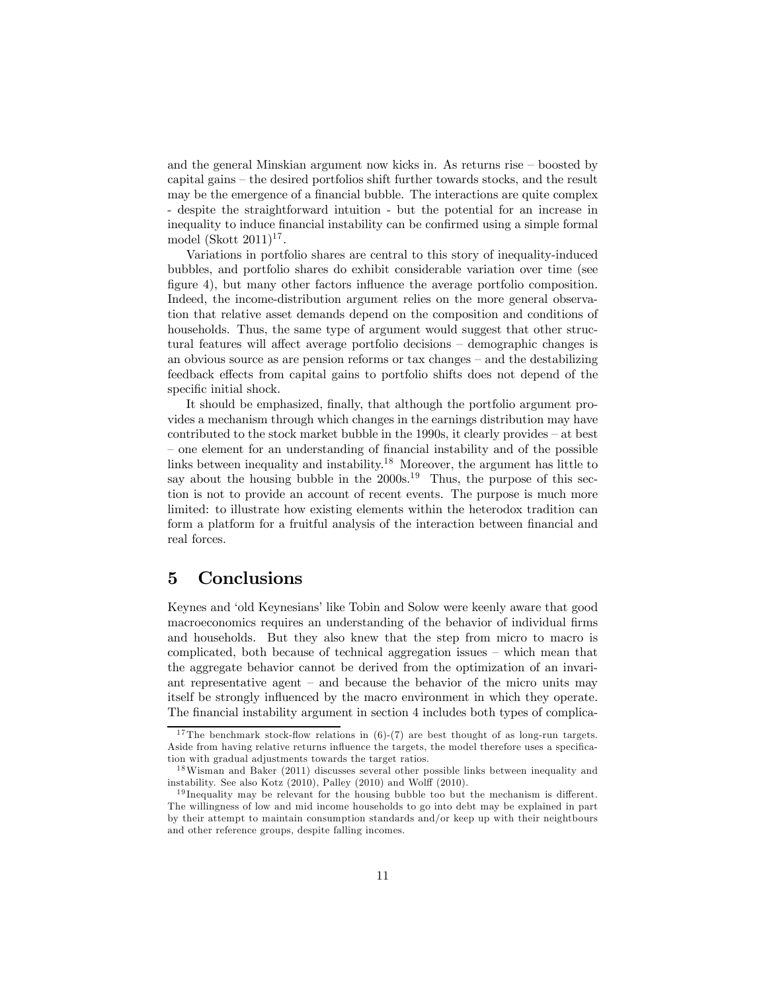and the general Minskian argument now kicks in. As returns rise — boosted by capital gains — the desired portfolios shift further towards stocks, and the result may be the emergence of a financial bubble. The interactions are quite complex - despite the straightforward intuition - but the potential for an increase in inequality to induce financial instability can be confirmed using a simple formal model (Skott  $2011$ )<sup>17</sup>.

Variations in portfolio shares are central to this story of inequality-induced bubbles, and portfolio shares do exhibit considerable variation over time (see figure 4), but many other factors influence the average portfolio composition. Indeed, the income-distribution argument relies on the more general observation that relative asset demands depend on the composition and conditions of households. Thus, the same type of argument would suggest that other structural features will affect average portfolio decisions — demographic changes is an obvious source as are pension reforms or tax changes — and the destabilizing feedback effects from capital gains to portfolio shifts does not depend of the specific initial shock.

It should be emphasized, finally, that although the portfolio argument provides a mechanism through which changes in the earnings distribution may have contributed to the stock market bubble in the 1990s, it clearly provides — at best — one element for an understanding of financial instability and of the possible links between inequality and instability.<sup>18</sup> Moreover, the argument has little to say about the housing bubble in the  $2000s^{19}$  Thus, the purpose of this section is not to provide an account of recent events. The purpose is much more limited: to illustrate how existing elements within the heterodox tradition can form a platform for a fruitful analysis of the interaction between financial and real forces.

#### 5 Conclusions

Keynes and 'old Keynesians' like Tobin and Solow were keenly aware that good macroeconomics requires an understanding of the behavior of individual firms and households. But they also knew that the step from micro to macro is complicated, both because of technical aggregation issues — which mean that the aggregate behavior cannot be derived from the optimization of an invariant representative agent — and because the behavior of the micro units may itself be strongly influenced by the macro environment in which they operate. The financial instability argument in section 4 includes both types of complica-

<sup>&</sup>lt;sup>17</sup>The benchmark stock-flow relations in  $(6)-(7)$  are best thought of as long-run targets. Aside from having relative returns influence the targets, the model therefore uses a specification with gradual adjustments towards the target ratios.

<sup>&</sup>lt;sup>18</sup>Wisman and Baker (2011) discusses several other possible links between inequality and instability. See also Kotz (2010), Palley (2010) and Wolff (2010).

 $19$  Inequality may be relevant for the housing bubble too but the mechanism is different. The willingness of low and mid income households to go into debt may be explained in part by their attempt to maintain consumption standards and/or keep up with their neightbours and other reference groups, despite falling incomes.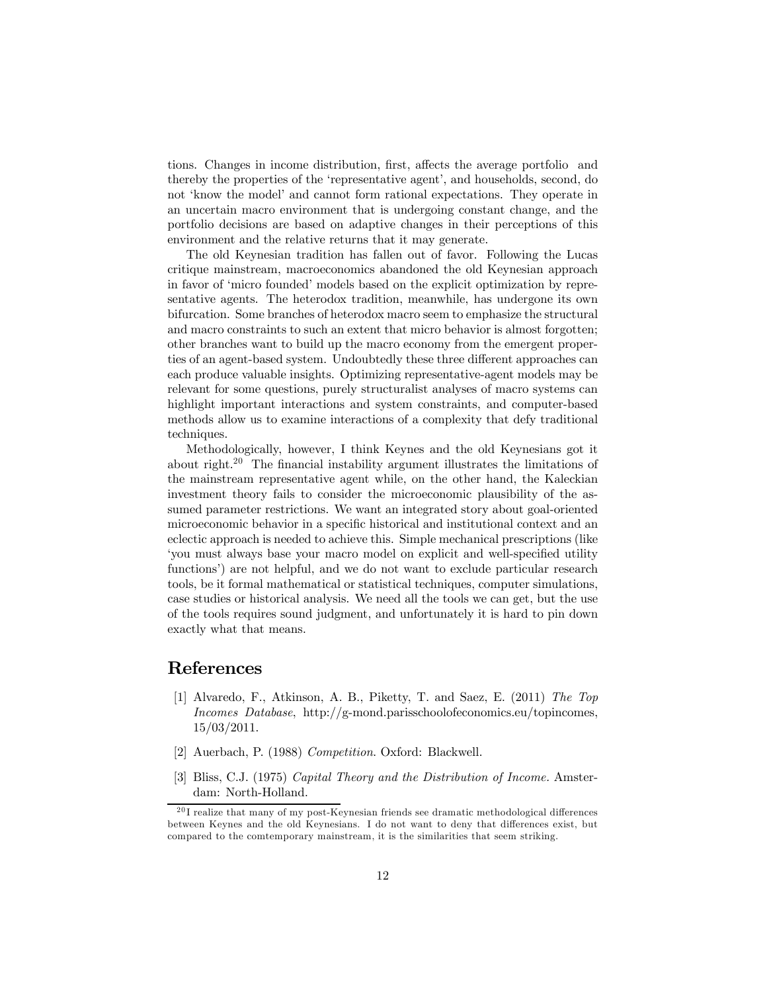tions. Changes in income distribution, first, affects the average portfolio and thereby the properties of the 'representative agent', and households, second, do not 'know the model' and cannot form rational expectations. They operate in an uncertain macro environment that is undergoing constant change, and the portfolio decisions are based on adaptive changes in their perceptions of this environment and the relative returns that it may generate.

The old Keynesian tradition has fallen out of favor. Following the Lucas critique mainstream, macroeconomics abandoned the old Keynesian approach in favor of 'micro founded' models based on the explicit optimization by representative agents. The heterodox tradition, meanwhile, has undergone its own bifurcation. Some branches of heterodox macro seem to emphasize the structural and macro constraints to such an extent that micro behavior is almost forgotten; other branches want to build up the macro economy from the emergent properties of an agent-based system. Undoubtedly these three different approaches can each produce valuable insights. Optimizing representative-agent models may be relevant for some questions, purely structuralist analyses of macro systems can highlight important interactions and system constraints, and computer-based methods allow us to examine interactions of a complexity that defy traditional techniques.

Methodologically, however, I think Keynes and the old Keynesians got it about right.<sup>20</sup> The financial instability argument illustrates the limitations of the mainstream representative agent while, on the other hand, the Kaleckian investment theory fails to consider the microeconomic plausibility of the assumed parameter restrictions. We want an integrated story about goal-oriented microeconomic behavior in a specific historical and institutional context and an eclectic approach is needed to achieve this. Simple mechanical prescriptions (like 'you must always base your macro model on explicit and well-specified utility functions') are not helpful, and we do not want to exclude particular research tools, be it formal mathematical or statistical techniques, computer simulations, case studies or historical analysis. We need all the tools we can get, but the use of the tools requires sound judgment, and unfortunately it is hard to pin down exactly what that means.

#### References

- [1] Alvaredo, F., Atkinson, A. B., Piketty, T. and Saez, E. (2011) The Top Incomes Database, http://g-mond.parisschoolofeconomics.eu/topincomes, 15/03/2011.
- [2] Auerbach, P. (1988) Competition. Oxford: Blackwell.
- [3] Bliss, C.J. (1975) Capital Theory and the Distribution of Income. Amsterdam: North-Holland.

 $^{20}{\rm I}$  realize that many of my post-Keynesian friends see dramatic methodological differences between Keynes and the old Keynesians. I do not want to deny that differences exist, but compared to the comtemporary mainstream, it is the similarities that seem striking.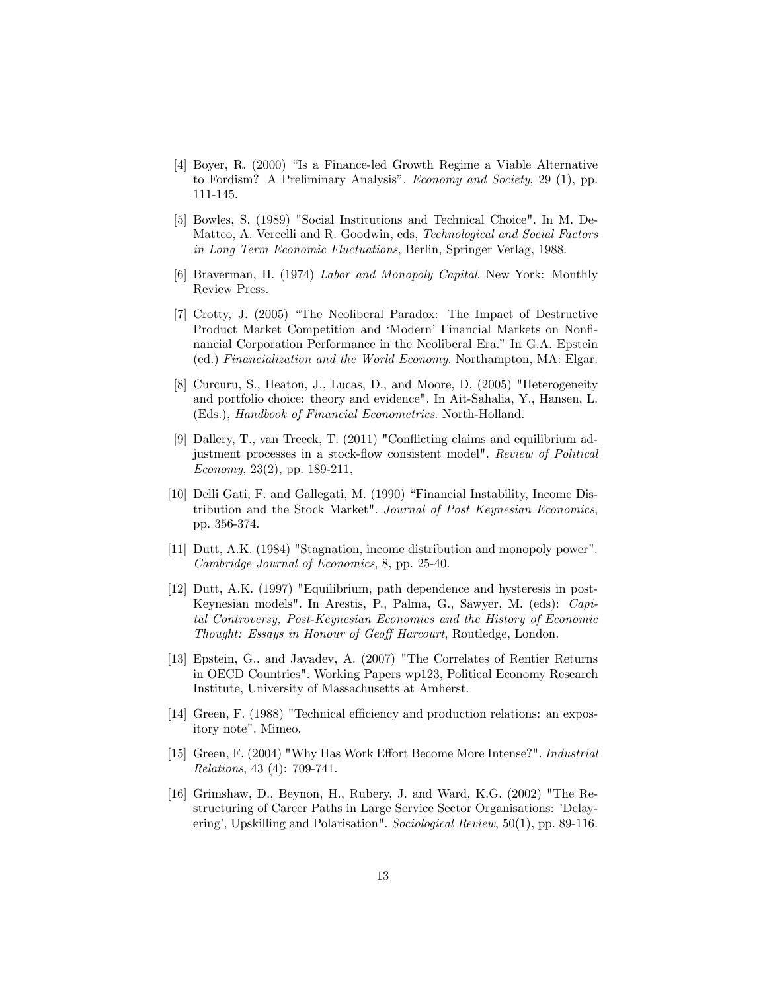- [4] Boyer, R. (2000) "Is a Finance-led Growth Regime a Viable Alternative to Fordism? A Preliminary Analysis". Economy and Society, 29 (1), pp. 111-145.
- [5] Bowles, S. (1989) "Social Institutions and Technical Choice". In M. De-Matteo, A. Vercelli and R. Goodwin, eds, Technological and Social Factors in Long Term Economic Fluctuations, Berlin, Springer Verlag, 1988.
- [6] Braverman, H. (1974) Labor and Monopoly Capital. New York: Monthly Review Press.
- [7] Crotty, J. (2005) "The Neoliberal Paradox: The Impact of Destructive Product Market Competition and 'Modern' Financial Markets on Nonfinancial Corporation Performance in the Neoliberal Era." In G.A. Epstein (ed.) Financialization and the World Economy. Northampton, MA: Elgar.
- [8] Curcuru, S., Heaton, J., Lucas, D., and Moore, D. (2005) "Heterogeneity and portfolio choice: theory and evidence". In Ait-Sahalia, Y., Hansen, L. (Eds.), Handbook of Financial Econometrics. North-Holland.
- [9] Dallery, T., van Treeck, T. (2011) "Conflicting claims and equilibrium adjustment processes in a stock-flow consistent model". Review of Political Economy, 23(2), pp. 189-211,
- [10] Delli Gati, F. and Gallegati, M. (1990) "Financial Instability, Income Distribution and the Stock Market". Journal of Post Keynesian Economics, pp. 356-374.
- [11] Dutt, A.K. (1984) "Stagnation, income distribution and monopoly power". Cambridge Journal of Economics, 8, pp. 25-40.
- [12] Dutt, A.K. (1997) "Equilibrium, path dependence and hysteresis in post-Keynesian models". In Arestis, P., Palma, G., Sawyer, M. (eds): Capital Controversy, Post-Keynesian Economics and the History of Economic Thought: Essays in Honour of Geoff Harcourt, Routledge, London.
- [13] Epstein, G.. and Jayadev, A. (2007) "The Correlates of Rentier Returns in OECD Countries". Working Papers wp123, Political Economy Research Institute, University of Massachusetts at Amherst.
- [14] Green, F. (1988) "Technical efficiency and production relations: an expository note". Mimeo.
- [15] Green, F. (2004) "Why Has Work Effort Become More Intense?". Industrial Relations, 43 (4): 709-741.
- [16] Grimshaw, D., Beynon, H., Rubery, J. and Ward, K.G. (2002) "The Restructuring of Career Paths in Large Service Sector Organisations: 'Delayering', Upskilling and Polarisation". Sociological Review, 50(1), pp. 89-116.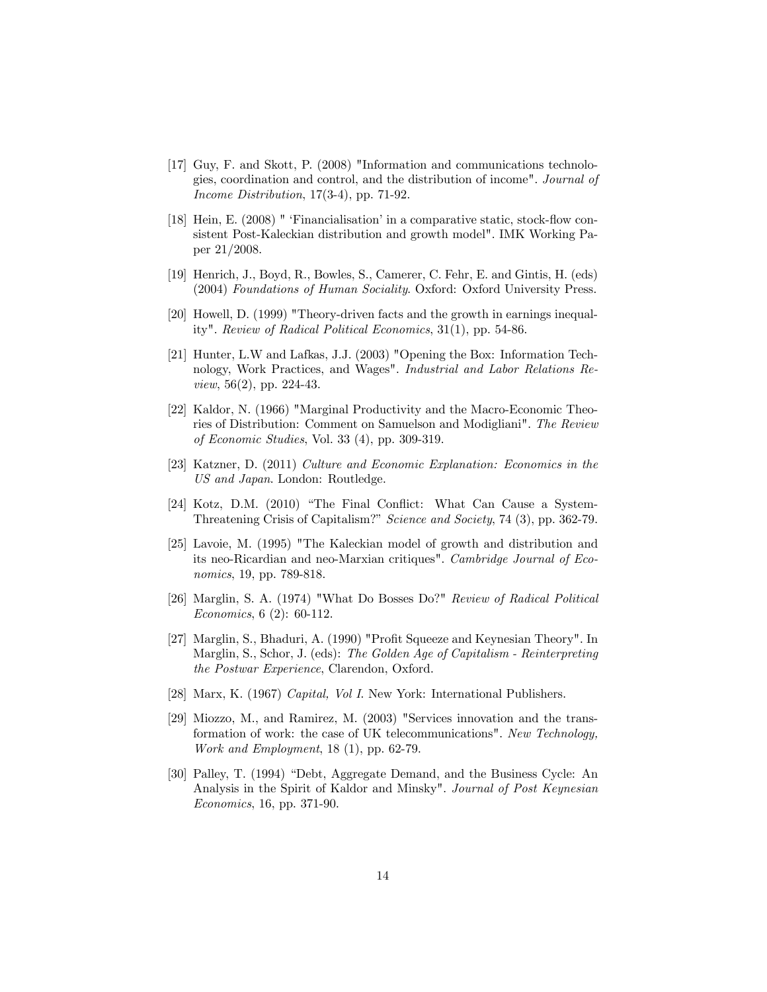- [17] Guy, F. and Skott, P. (2008) "Information and communications technologies, coordination and control, and the distribution of income". Journal of Income Distribution, 17(3-4), pp. 71-92.
- [18] Hein, E. (2008) " 'Financialisation' in a comparative static, stock-flow consistent Post-Kaleckian distribution and growth model". IMK Working Paper 21/2008.
- [19] Henrich, J., Boyd, R., Bowles, S., Camerer, C. Fehr, E. and Gintis, H. (eds) (2004) Foundations of Human Sociality. Oxford: Oxford University Press.
- [20] Howell, D. (1999) "Theory-driven facts and the growth in earnings inequality". Review of Radical Political Economics, 31(1), pp. 54-86.
- [21] Hunter, L.W and Lafkas, J.J. (2003) "Opening the Box: Information Technology, Work Practices, and Wages". Industrial and Labor Relations Review, 56(2), pp. 224-43.
- [22] Kaldor, N. (1966) "Marginal Productivity and the Macro-Economic Theories of Distribution: Comment on Samuelson and Modigliani". The Review of Economic Studies, Vol. 33 (4), pp. 309-319.
- [23] Katzner, D. (2011) Culture and Economic Explanation: Economics in the US and Japan. London: Routledge.
- [24] Kotz, D.M. (2010) "The Final Conflict: What Can Cause a System-Threatening Crisis of Capitalism?" Science and Society, 74 (3), pp. 362-79.
- [25] Lavoie, M. (1995) "The Kaleckian model of growth and distribution and its neo-Ricardian and neo-Marxian critiques". Cambridge Journal of Economics, 19, pp. 789-818.
- [26] Marglin, S. A. (1974) "What Do Bosses Do?" Review of Radical Political Economics, 6 (2): 60-112.
- [27] Marglin, S., Bhaduri, A. (1990) "Profit Squeeze and Keynesian Theory". In Marglin, S., Schor, J. (eds): The Golden Age of Capitalism - Reinterpreting the Postwar Experience, Clarendon, Oxford.
- [28] Marx, K. (1967) Capital, Vol I. New York: International Publishers.
- [29] Miozzo, M., and Ramirez, M. (2003) "Services innovation and the transformation of work: the case of UK telecommunications". New Technology, Work and Employment, 18 (1), pp. 62-79.
- [30] Palley, T. (1994) "Debt, Aggregate Demand, and the Business Cycle: An Analysis in the Spirit of Kaldor and Minsky". Journal of Post Keynesian Economics, 16, pp. 371-90.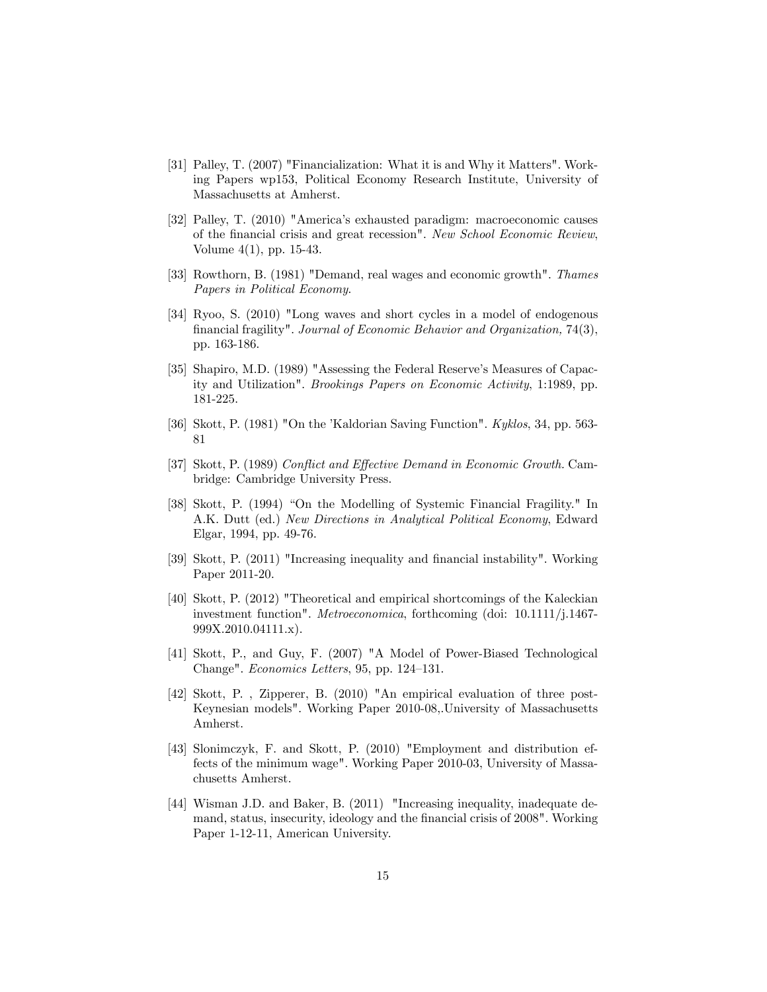- [31] Palley, T. (2007) "Financialization: What it is and Why it Matters". Working Papers wp153, Political Economy Research Institute, University of Massachusetts at Amherst.
- [32] Palley, T. (2010) "America's exhausted paradigm: macroeconomic causes of the financial crisis and great recession". New School Economic Review, Volume 4(1), pp. 15-43.
- [33] Rowthorn, B. (1981) "Demand, real wages and economic growth". Thames Papers in Political Economy.
- [34] Ryoo, S. (2010) "Long waves and short cycles in a model of endogenous financial fragility". Journal of Economic Behavior and Organization, 74(3), pp. 163-186.
- [35] Shapiro, M.D. (1989) "Assessing the Federal Reserve's Measures of Capacity and Utilization". Brookings Papers on Economic Activity, 1:1989, pp. 181-225.
- [36] Skott, P. (1981) "On the 'Kaldorian Saving Function". Kyklos, 34, pp. 563- 81
- [37] Skott, P. (1989) Conflict and Effective Demand in Economic Growth. Cambridge: Cambridge University Press.
- [38] Skott, P. (1994) "On the Modelling of Systemic Financial Fragility." In A.K. Dutt (ed.) New Directions in Analytical Political Economy, Edward Elgar, 1994, pp. 49-76.
- [39] Skott, P. (2011) "Increasing inequality and financial instability". Working Paper 2011-20.
- [40] Skott, P. (2012) "Theoretical and empirical shortcomings of the Kaleckian investment function". Metroeconomica, forthcoming (doi: 10.1111/j.1467- 999X.2010.04111.x).
- [41] Skott, P., and Guy, F. (2007) "A Model of Power-Biased Technological Change". Economics Letters, 95, pp. 124—131.
- [42] Skott, P. , Zipperer, B. (2010) "An empirical evaluation of three post-Keynesian models". Working Paper 2010-08,.University of Massachusetts Amherst.
- [43] Slonimczyk, F. and Skott, P. (2010) "Employment and distribution effects of the minimum wage". Working Paper 2010-03, University of Massachusetts Amherst.
- [44] Wisman J.D. and Baker, B. (2011) "Increasing inequality, inadequate demand, status, insecurity, ideology and the financial crisis of 2008". Working Paper 1-12-11, American University.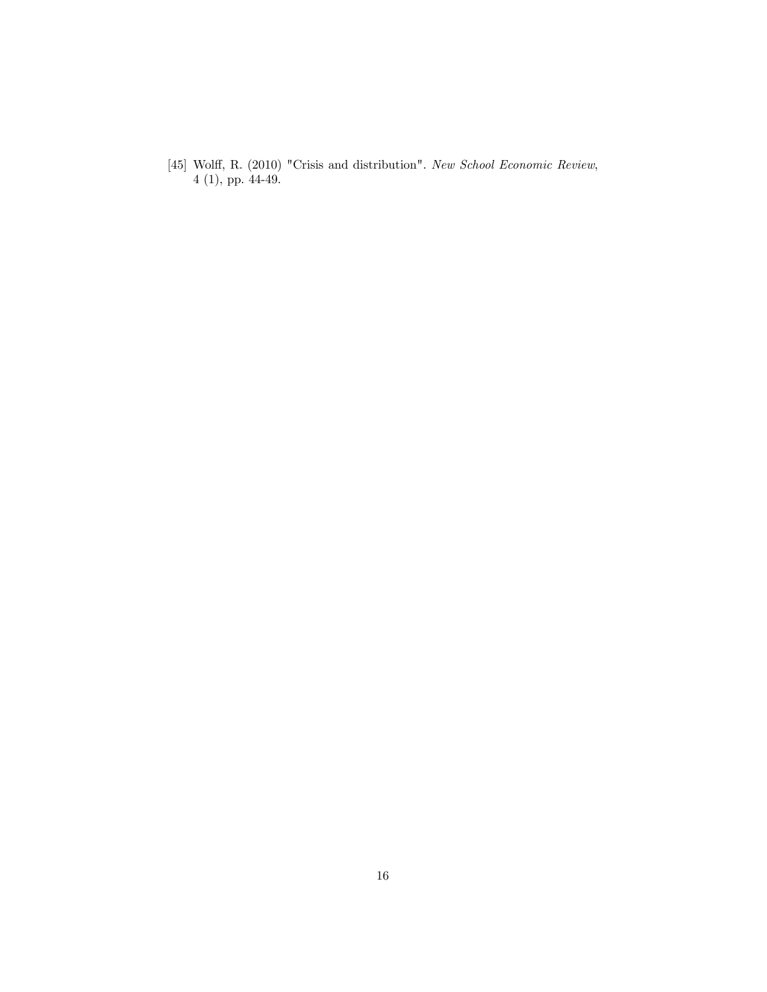[45] Wolff, R. (2010) "Crisis and distribution". New School Economic Review, 4 (1), pp. 44-49.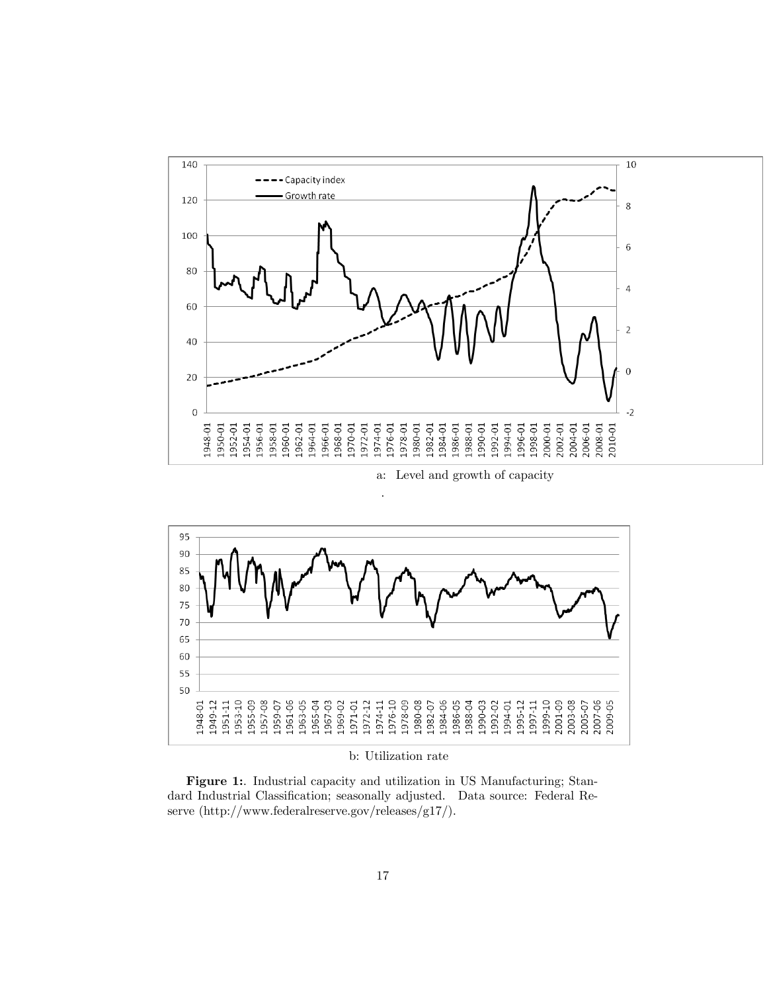

a: Level and growth of capacity



.

b: Utilization rate

Figure 1:. Industrial capacity and utilization in US Manufacturing; Standard Industrial Classification; seasonally adjusted. Data source: Federal Reserve (http://www.federalreserve.gov/releases/g17/).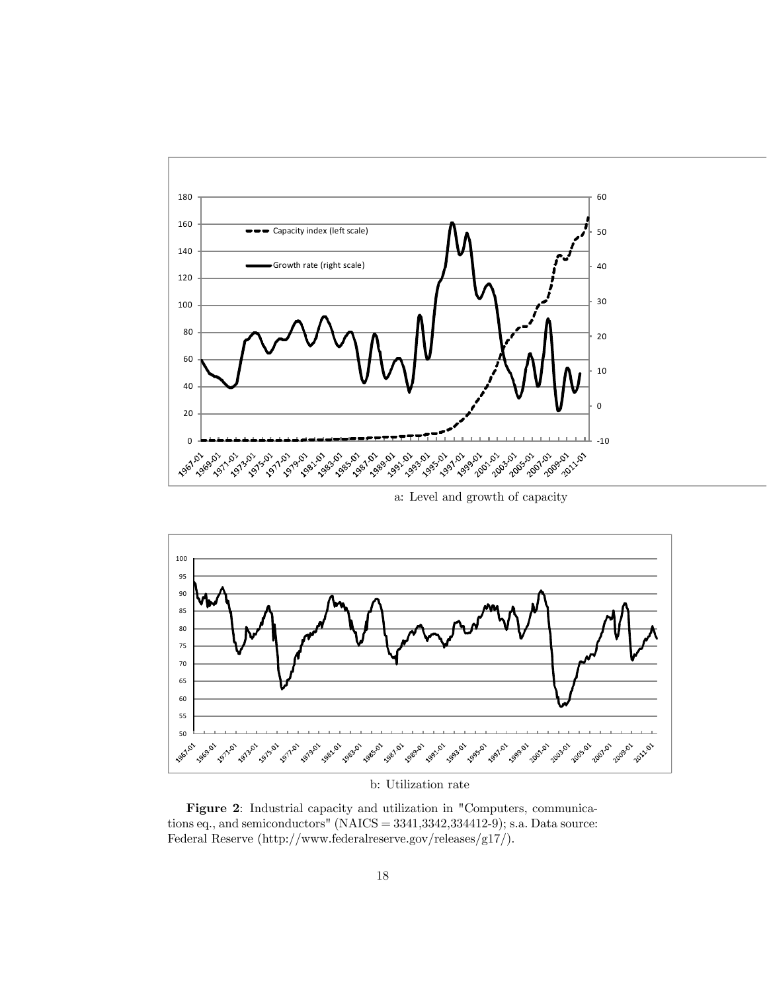

a: Level and growth of capacity



b: Utilization rate

Figure 2: Industrial capacity and utilization in "Computers, communications eq., and semiconductors" (NAICS = 3341,3342,334412-9); s.a. Data source: Federal Reserve (http://www.federalreserve.gov/releases/g17/).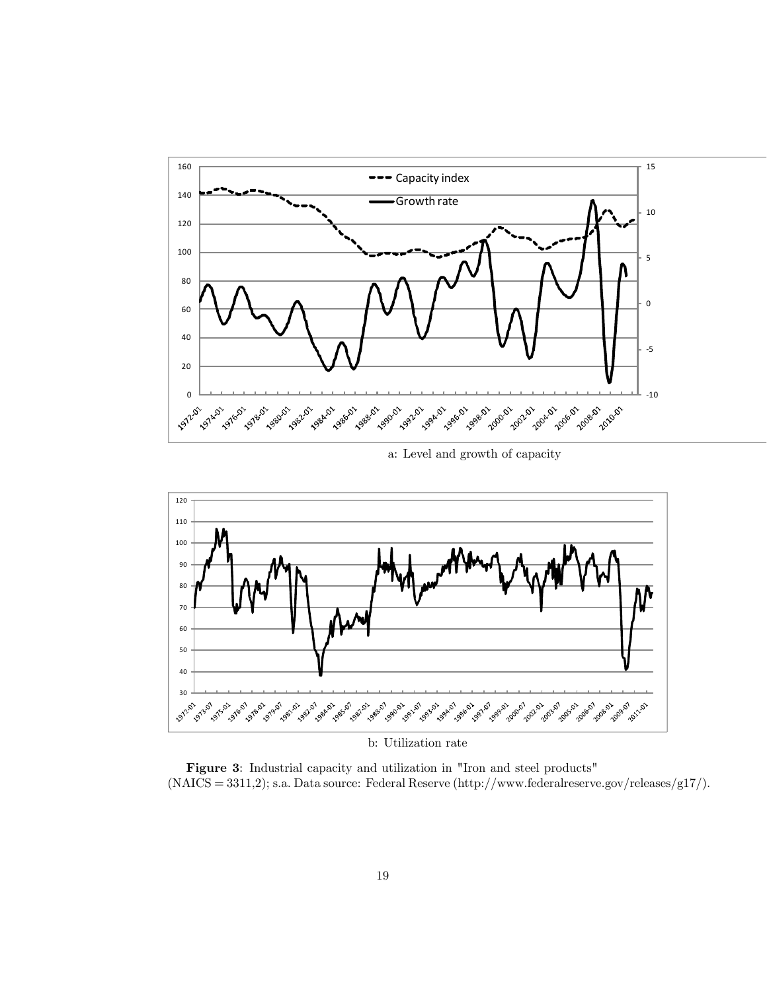

a: Level and growth of capacity



b: Utilization rate

Figure 3: Industrial capacity and utilization in "Iron and steel products" (NAICS = 3311,2); s.a. Data source: Federal Reserve (http://www.federalreserve.gov/releases/g17/).